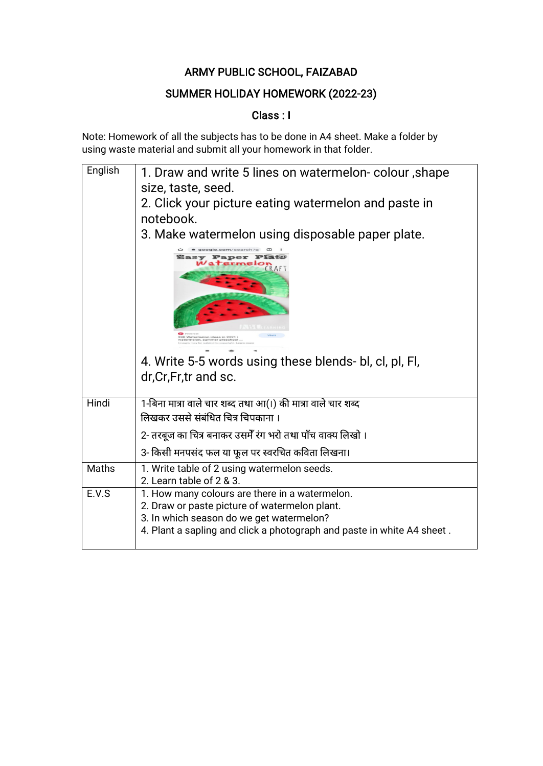## SUMMER HOLIDAY HOMEWORK (2022-23)

## Class : I

| English | 1. Draw and write 5 lines on watermelon-colour, shape<br>size, taste, seed.<br>2. Click your picture eating watermelon and paste in<br>notebook.                                                                      |
|---------|-----------------------------------------------------------------------------------------------------------------------------------------------------------------------------------------------------------------------|
|         | 3. Make watermelon using disposable paper plate.                                                                                                                                                                      |
|         | Paper<br>ERAF<br>ID Watermelon ideas in 2021<br>atermeton, eummer preschool<br>4. Write 5-5 words using these blends- bl, cl, pl, Fl,                                                                                 |
|         | dr, Cr, Fr, tr and sc.                                                                                                                                                                                                |
| Hindi   | 1-बिना मात्रा वाले चार शब्द तथा आ(।) की मात्रा वाले चार शब्द                                                                                                                                                          |
|         | लिखकर उससे संबंधित चित्र चिपकाना ।                                                                                                                                                                                    |
|         | 2- तरबूज का चित्र बनाकर उसमेँ रंग भरो तथा पाँच वाक्य लिखो ।                                                                                                                                                           |
|         | 3- किसी मनपसंद फल या फूल पर स्वरचित कविता लिखना।                                                                                                                                                                      |
| Maths   | 1. Write table of 2 using watermelon seeds.<br>2. Learn table of 2 & 3.                                                                                                                                               |
| E.V.S   | 1. How many colours are there in a watermelon.<br>2. Draw or paste picture of watermelon plant.<br>3. In which season do we get watermelon?<br>4. Plant a sapling and click a photograph and paste in white A4 sheet. |
|         |                                                                                                                                                                                                                       |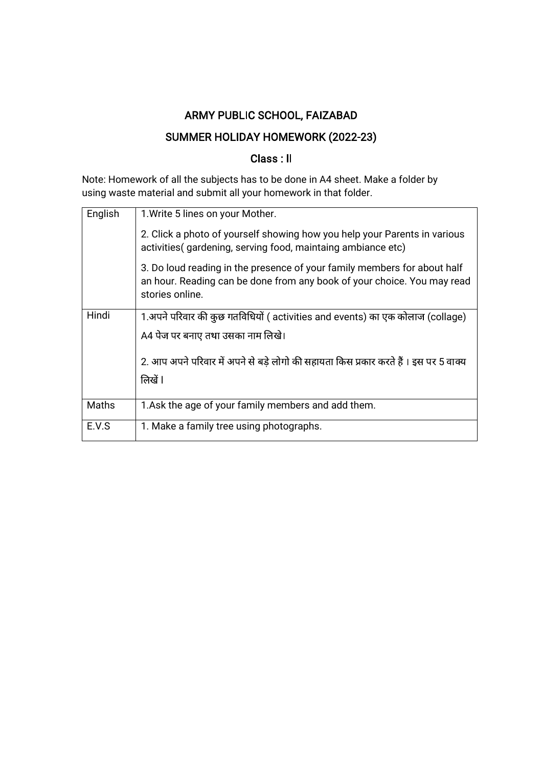## SUMMER HOLIDAY HOMEWORK (2022-23)

## Class : Il

| English<br>1. Write 5 lines on your Mother.                                                                                                                            |
|------------------------------------------------------------------------------------------------------------------------------------------------------------------------|
|                                                                                                                                                                        |
| 2. Click a photo of yourself showing how you help your Parents in various<br>activities (gardening, serving food, maintaing ambiance etc)                              |
| 3. Do loud reading in the presence of your family members for about half<br>an hour. Reading can be done from any book of your choice. You may read<br>stories online. |
| Hindi<br>1.अपने परिवार की कुछ गतविधियों ( activities and events) का एक कोलाज (collage)                                                                                 |
| A4 पेज पर बनाए तथा उसका नाम लिखे।                                                                                                                                      |
| 2. आप अपने परिवार में अपने से बडे लोगो की सहायता किस प्रकार करते हैं । इस पर 5 वाक्य                                                                                   |
| लिखें l                                                                                                                                                                |
| Maths<br>1.Ask the age of your family members and add them.                                                                                                            |
| E.V.S<br>1. Make a family tree using photographs.                                                                                                                      |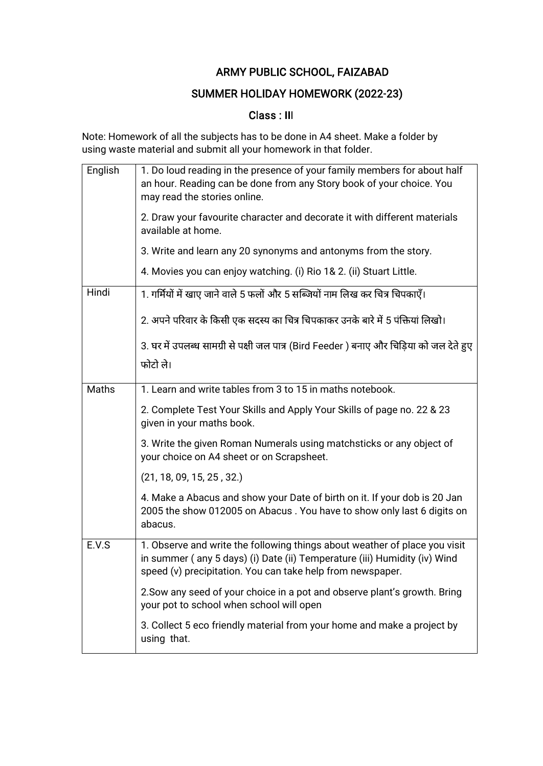### SUMMER HOLIDAY HOMEWORK (2022-23)

## Class : III

| English | 1. Do loud reading in the presence of your family members for about half<br>an hour. Reading can be done from any Story book of your choice. You<br>may read the stories online.                                      |
|---------|-----------------------------------------------------------------------------------------------------------------------------------------------------------------------------------------------------------------------|
|         | 2. Draw your favourite character and decorate it with different materials<br>available at home.                                                                                                                       |
|         | 3. Write and learn any 20 synonyms and antonyms from the story.                                                                                                                                                       |
|         | 4. Movies you can enjoy watching. (i) Rio 1& 2. (ii) Stuart Little.                                                                                                                                                   |
| Hindi   | 1. गर्मियों में खाए जाने वाले 5 फलों और 5 सब्जियों नाम लिख कर चित्र चिपकाएँ।                                                                                                                                          |
|         | 2. अपने परिवार के किसी एक सदस्य का चित्र चिपकाकर उनके बारे में 5 पंक्तियां लिखो।                                                                                                                                      |
|         | 3. घर में उपलब्ध सामग्री से पक्षी जल पात्र (Bird Feeder ) बनाए और चिड़िया को जल देते हुए                                                                                                                              |
|         | फोटो ले।                                                                                                                                                                                                              |
| Maths   | 1. Learn and write tables from 3 to 15 in maths notebook.                                                                                                                                                             |
|         | 2. Complete Test Your Skills and Apply Your Skills of page no. 22 & 23<br>given in your maths book.                                                                                                                   |
|         | 3. Write the given Roman Numerals using matchsticks or any object of<br>your choice on A4 sheet or on Scrapsheet.                                                                                                     |
|         | (21, 18, 09, 15, 25, 32.)                                                                                                                                                                                             |
|         | 4. Make a Abacus and show your Date of birth on it. If your dob is 20 Jan<br>2005 the show 012005 on Abacus. You have to show only last 6 digits on<br>abacus.                                                        |
| E.V.S   | 1. Observe and write the following things about weather of place you visit<br>in summer (any 5 days) (i) Date (ii) Temperature (iii) Humidity (iv) Wind<br>speed (v) precipitation. You can take help from newspaper. |
|         | 2. Sow any seed of your choice in a pot and observe plant's growth. Bring<br>your pot to school when school will open                                                                                                 |
|         | 3. Collect 5 eco friendly material from your home and make a project by<br>using that.                                                                                                                                |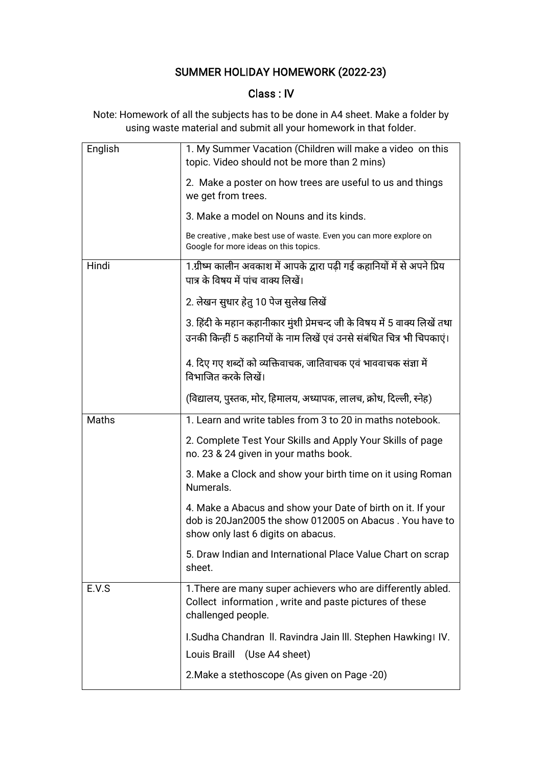# SUMMER HOLIDAY HOMEWORK (2022-23)

#### Class : IV

| English | 1. My Summer Vacation (Children will make a video on this<br>topic. Video should not be more than 2 mins)                                                    |
|---------|--------------------------------------------------------------------------------------------------------------------------------------------------------------|
|         | 2. Make a poster on how trees are useful to us and things<br>we get from trees.                                                                              |
|         | 3. Make a model on Nouns and its kinds.                                                                                                                      |
|         | Be creative, make best use of waste. Even you can more explore on<br>Google for more ideas on this topics.                                                   |
| Hindi   | 1.ग्रीष्म कालीन अवकाश में आपके द्वारा पढ़ी गई कहानियों में से अपने प्रिय<br>पात्र के विषय में पांच वाक्य लिखें।                                              |
|         | 2. लेखन सुधार हेतु 10 पेज सुलेख लिखें                                                                                                                        |
|         | 3. हिंदी के महान कहानीकार मुंशी प्रेमचन्द जी के विषय में 5 वाक्य लिखें तथा<br>उनकी किन्हीं 5 कहानियों के नाम लिखें एवं उनसे संबंधित चित्र भी चिपकाएं।        |
|         | 4. दिए गए शब्दों को व्यक्तिवाचक, जातिवाचक एवं भाववाचक संज्ञा में<br>विभाजित करके लिखें।                                                                      |
|         | (विद्यालय, पुस्तक, मोर, हिमालय, अध्यापक, लालच, क्रोध, दिल्ली, स्नेह)                                                                                         |
| Maths   | 1. Learn and write tables from 3 to 20 in maths notebook.                                                                                                    |
|         | 2. Complete Test Your Skills and Apply Your Skills of page<br>no. 23 & 24 given in your maths book.                                                          |
|         | 3. Make a Clock and show your birth time on it using Roman<br>Numerals.                                                                                      |
|         | 4. Make a Abacus and show your Date of birth on it. If your<br>dob is 20Jan2005 the show 012005 on Abacus. You have to<br>show only last 6 digits on abacus. |
|         | 5. Draw Indian and International Place Value Chart on scrap<br>sheet.                                                                                        |
| E.V.S   |                                                                                                                                                              |
|         | 1. There are many super achievers who are differently abled.<br>Collect information, write and paste pictures of these<br>challenged people.                 |
|         | I.Sudha Chandran II. Ravindra Jain III. Stephen Hawking IV.                                                                                                  |
|         | Louis Braill (Use A4 sheet)                                                                                                                                  |
|         | 2. Make a stethoscope (As given on Page -20)                                                                                                                 |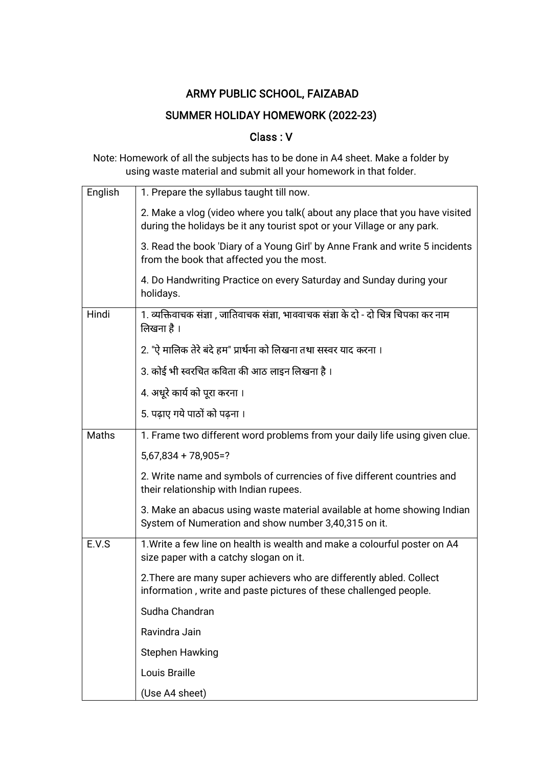## SUMMER HOLIDAY HOMEWORK (2022-23)

### Class : V

| English | 1. Prepare the syllabus taught till now.                                                                                                              |
|---------|-------------------------------------------------------------------------------------------------------------------------------------------------------|
|         | 2. Make a vlog (video where you talk(about any place that you have visited<br>during the holidays be it any tourist spot or your Village or any park. |
|         | 3. Read the book 'Diary of a Young Girl' by Anne Frank and write 5 incidents<br>from the book that affected you the most.                             |
|         | 4. Do Handwriting Practice on every Saturday and Sunday during your<br>holidays.                                                                      |
| Hindi   | 1. व्यक्तिवाचक संज्ञा , जातिवाचक संज्ञा, भाववाचक संज्ञा के दो - दो चित्र चिपका कर नाम<br>लिखना है ।                                                   |
|         | 2. "ऐ मालिक तेरे बंदे हम" प्रार्थना को लिखना तथा सस्वर याद करना ।                                                                                     |
|         | 3. कोई भी स्वरचित कविता की आठ लाइन लिखना है ।                                                                                                         |
|         | 4. अधूरे कार्य को पूरा करना ।                                                                                                                         |
|         | 5. पढाए गये पाठों को पढना ।                                                                                                                           |
| Maths   | 1. Frame two different word problems from your daily life using given clue.                                                                           |
|         | $5,67,834 + 78,905 = ?$                                                                                                                               |
|         | 2. Write name and symbols of currencies of five different countries and<br>their relationship with Indian rupees.                                     |
|         | 3. Make an abacus using waste material available at home showing Indian<br>System of Numeration and show number 3,40,315 on it.                       |
| E.V.S   | 1. Write a few line on health is wealth and make a colourful poster on A4<br>size paper with a catchy slogan on it.                                   |
|         | 2. There are many super achievers who are differently abled. Collect<br>information, write and paste pictures of these challenged people.             |
|         | Sudha Chandran                                                                                                                                        |
|         | Ravindra Jain                                                                                                                                         |
|         | <b>Stephen Hawking</b>                                                                                                                                |
|         | Louis Braille                                                                                                                                         |
|         | (Use A4 sheet)                                                                                                                                        |